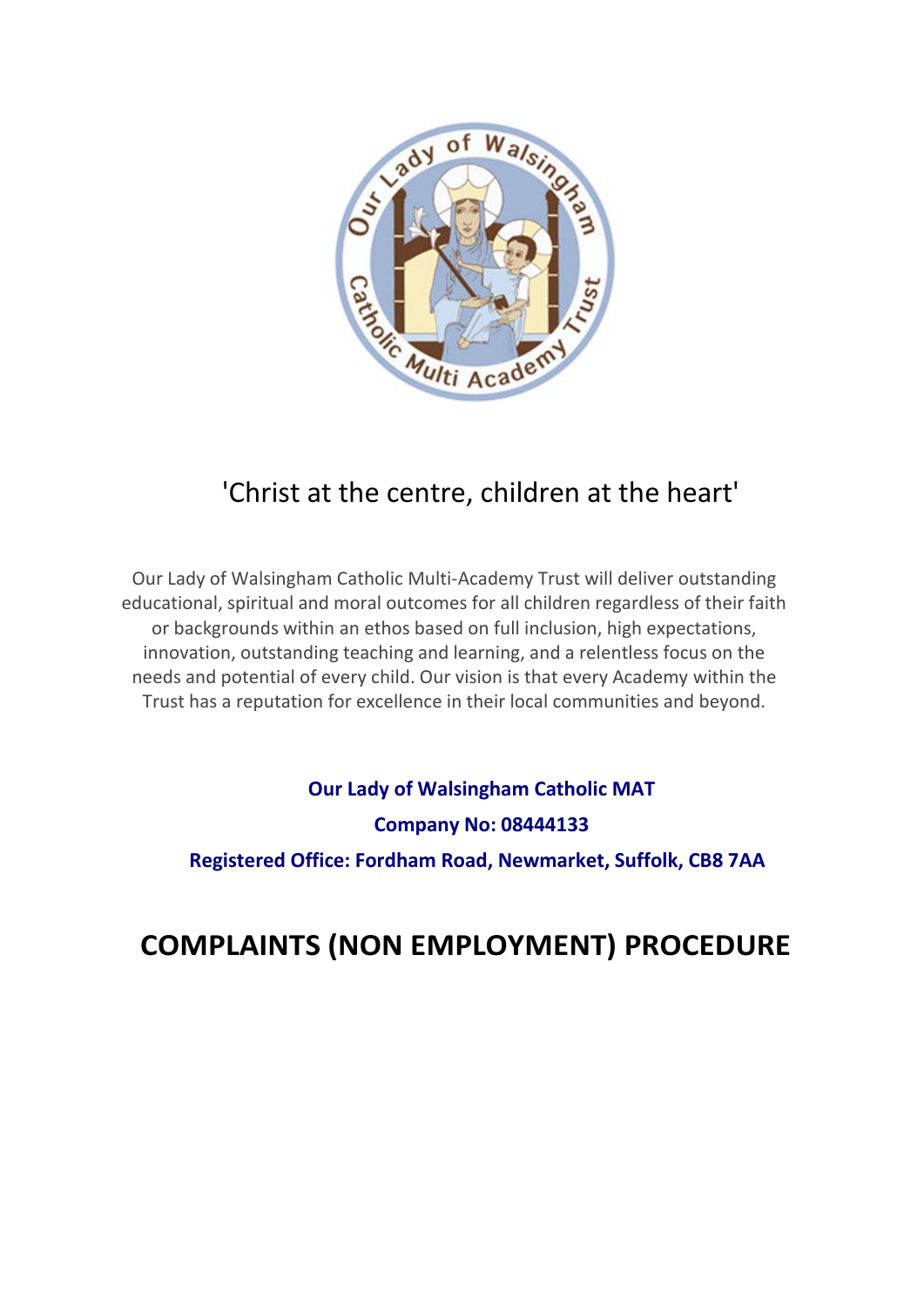

## 'Christ at the centre, children at the heart'

Our Lady of Walsingham Catholic Multi-Academy Trust will deliver outstanding educational, spiritual and moral outcomes for all children regardless of their faith or backgrounds within an ethos based on full inclusion, high expectations, innovation, outstanding teaching and learning, and a relentless focus on the needs and potential of every child. Our vision is that every Academy within the Trust has a reputation for excellence in their local communities and beyond.

## **Our Lady of Walsingham Catholic MAT Company No: 08444133 Registered Office: Fordham Road, Newmarket, Suffolk, CB8 7AA**

# **COMPLAINTS (NON EMPLOYMENT) PROCEDURE**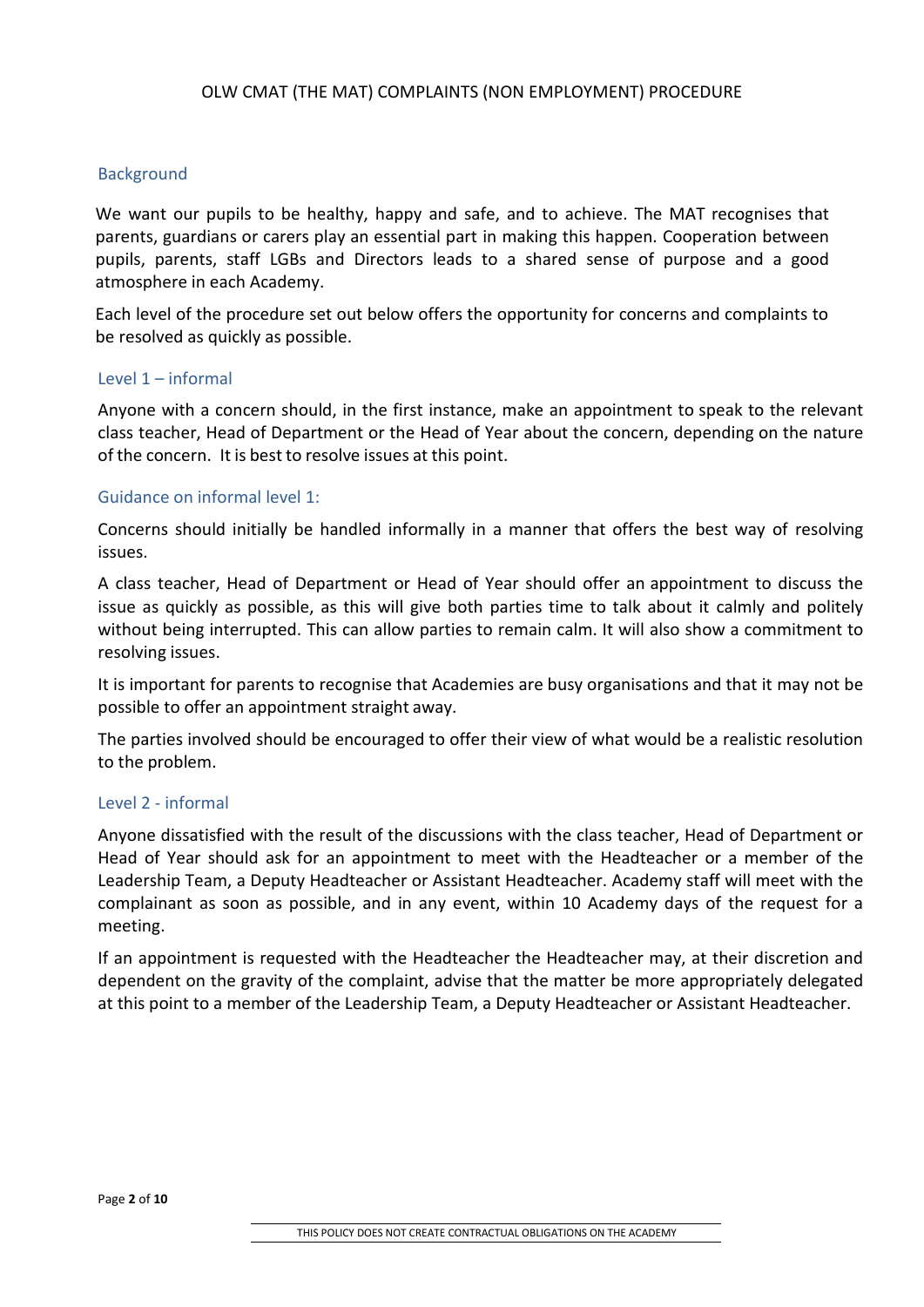#### Background

We want our pupils to be healthy, happy and safe, and to achieve. The MAT recognises that parents, guardians or carers play an essential part in making this happen. Cooperation between pupils, parents, staff LGBs and Directors leads to a shared sense of purpose and a good atmosphere in each Academy.

Each level of the procedure set out below offers the opportunity for concerns and complaints to be resolved as quickly as possible.

#### Level  $1$  – informal

Anyone with a concern should, in the first instance, make an appointment to speak to the relevant class teacher, Head of Department or the Head of Year about the concern, depending on the nature of the concern. It is best to resolve issues at this point.

#### Guidance on informal level 1:

Concerns should initially be handled informally in a manner that offers the best way of resolving issues.

A class teacher, Head of Department or Head of Year should offer an appointment to discuss the issue as quickly as possible, as this will give both parties time to talk about it calmly and politely without being interrupted. This can allow parties to remain calm. It will also show a commitment to resolving issues.

It is important for parents to recognise that Academies are busy organisations and that it may not be possible to offer an appointment straight away.

The parties involved should be encouraged to offer their view of what would be a realistic resolution to the problem.

#### Level 2 - informal

Anyone dissatisfied with the result of the discussions with the class teacher, Head of Department or Head of Year should ask for an appointment to meet with the Headteacher or a member of the Leadership Team, a Deputy Headteacher or Assistant Headteacher. Academy staff will meet with the complainant as soon as possible, and in any event, within 10 Academy days of the request for a meeting.

If an appointment is requested with the Headteacher the Headteacher may, at their discretion and dependent on the gravity of the complaint, advise that the matter be more appropriately delegated at this point to a member of the Leadership Team, a Deputy Headteacher or Assistant Headteacher.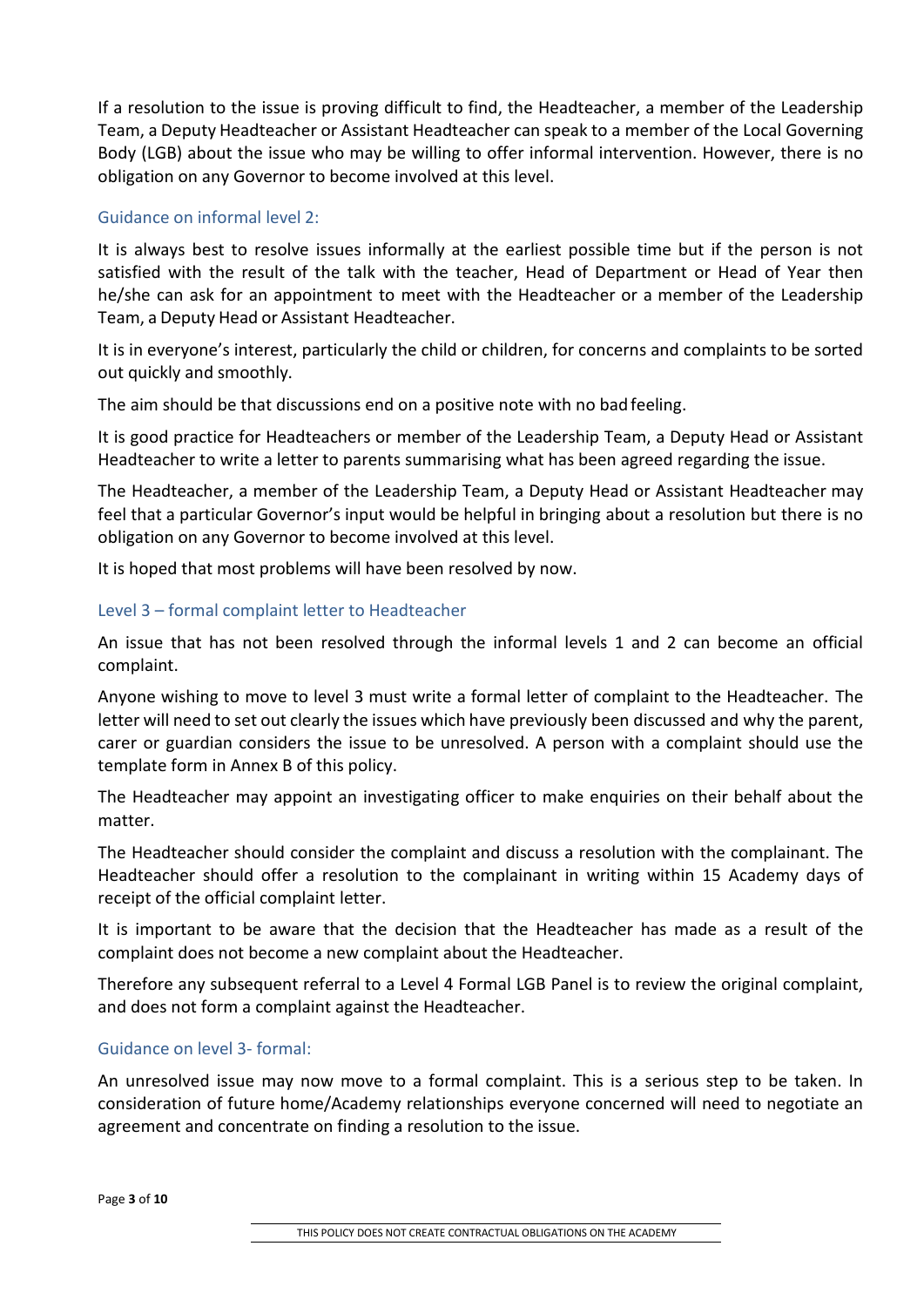If a resolution to the issue is proving difficult to find, the Headteacher, a member of the Leadership Team, a Deputy Headteacher or Assistant Headteacher can speak to a member of the Local Governing Body (LGB) about the issue who may be willing to offer informal intervention. However, there is no obligation on any Governor to become involved at this level.

## Guidance on informal level 2:

It is always best to resolve issues informally at the earliest possible time but if the person is not satisfied with the result of the talk with the teacher, Head of Department or Head of Year then he/she can ask for an appointment to meet with the Headteacher or a member of the Leadership Team, a Deputy Head or Assistant Headteacher.

It is in everyone's interest, particularly the child or children, for concerns and complaints to be sorted out quickly and smoothly.

The aim should be that discussions end on a positive note with no bad feeling.

It is good practice for Headteachers or member of the Leadership Team, a Deputy Head or Assistant Headteacher to write a letter to parents summarising what has been agreed regarding the issue.

The Headteacher, a member of the Leadership Team, a Deputy Head or Assistant Headteacher may feel that a particular Governor's input would be helpful in bringing about a resolution but there is no obligation on any Governor to become involved at this level.

It is hoped that most problems will have been resolved by now.

## Level 3 – formal complaint letter to Headteacher

An issue that has not been resolved through the informal levels 1 and 2 can become an official complaint.

Anyone wishing to move to level 3 must write a formal letter of complaint to the Headteacher. The letter will need to set out clearly the issues which have previously been discussed and why the parent, carer or guardian considers the issue to be unresolved. A person with a complaint should use the template form in Annex B of this policy.

The Headteacher may appoint an investigating officer to make enquiries on their behalf about the matter.

The Headteacher should consider the complaint and discuss a resolution with the complainant. The Headteacher should offer a resolution to the complainant in writing within 15 Academy days of receipt of the official complaint letter.

It is important to be aware that the decision that the Headteacher has made as a result of the complaint does not become a new complaint about the Headteacher.

Therefore any subsequent referral to a Level 4 Formal LGB Panel is to review the original complaint, and does not form a complaint against the Headteacher.

## Guidance on level 3- formal:

An unresolved issue may now move to a formal complaint. This is a serious step to be taken. In consideration of future home/Academy relationships everyone concerned will need to negotiate an agreement and concentrate on finding a resolution to the issue.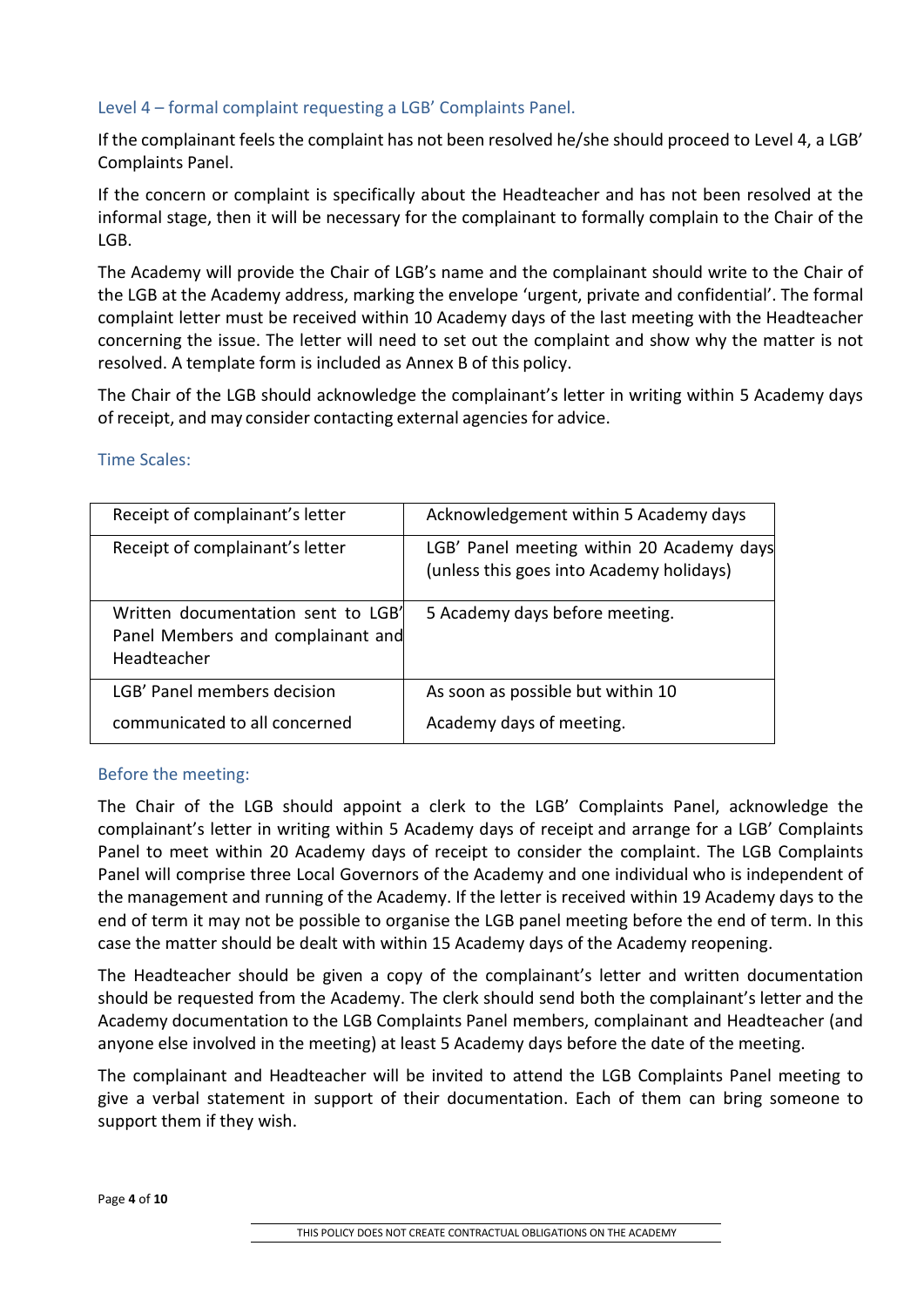## Level 4 – formal complaint requesting a LGB' Complaints Panel.

If the complainant feels the complaint has not been resolved he/she should proceed to Level 4, a LGB' Complaints Panel.

If the concern or complaint is specifically about the Headteacher and has not been resolved at the informal stage, then it will be necessary for the complainant to formally complain to the Chair of the LGB.

The Academy will provide the Chair of LGB's name and the complainant should write to the Chair of the LGB at the Academy address, marking the envelope 'urgent, private and confidential'. The formal complaint letter must be received within 10 Academy days of the last meeting with the Headteacher concerning the issue. The letter will need to set out the complaint and show why the matter is not resolved. A template form is included as Annex B of this policy.

The Chair of the LGB should acknowledge the complainant's letter in writing within 5 Academy days of receipt, and may consider contacting external agencies for advice.

| Receipt of complainant's letter                                                        | Acknowledgement within 5 Academy days                                                 |
|----------------------------------------------------------------------------------------|---------------------------------------------------------------------------------------|
| Receipt of complainant's letter                                                        | LGB' Panel meeting within 20 Academy days<br>(unless this goes into Academy holidays) |
| Written documentation sent to LGB'<br>Panel Members and complainant and<br>Headteacher | 5 Academy days before meeting.                                                        |
| LGB' Panel members decision                                                            | As soon as possible but within 10                                                     |
| communicated to all concerned                                                          | Academy days of meeting.                                                              |

## Time Scales:

## Before the meeting:

The Chair of the LGB should appoint a clerk to the LGB' Complaints Panel, acknowledge the complainant's letter in writing within 5 Academy days of receipt and arrange for a LGB' Complaints Panel to meet within 20 Academy days of receipt to consider the complaint. The LGB Complaints Panel will comprise three Local Governors of the Academy and one individual who is independent of the management and running of the Academy. If the letter is received within 19 Academy days to the end of term it may not be possible to organise the LGB panel meeting before the end of term. In this case the matter should be dealt with within 15 Academy days of the Academy reopening.

The Headteacher should be given a copy of the complainant's letter and written documentation should be requested from the Academy. The clerk should send both the complainant's letter and the Academy documentation to the LGB Complaints Panel members, complainant and Headteacher (and anyone else involved in the meeting) at least 5 Academy days before the date of the meeting.

The complainant and Headteacher will be invited to attend the LGB Complaints Panel meeting to give a verbal statement in support of their documentation. Each of them can bring someone to support them if they wish.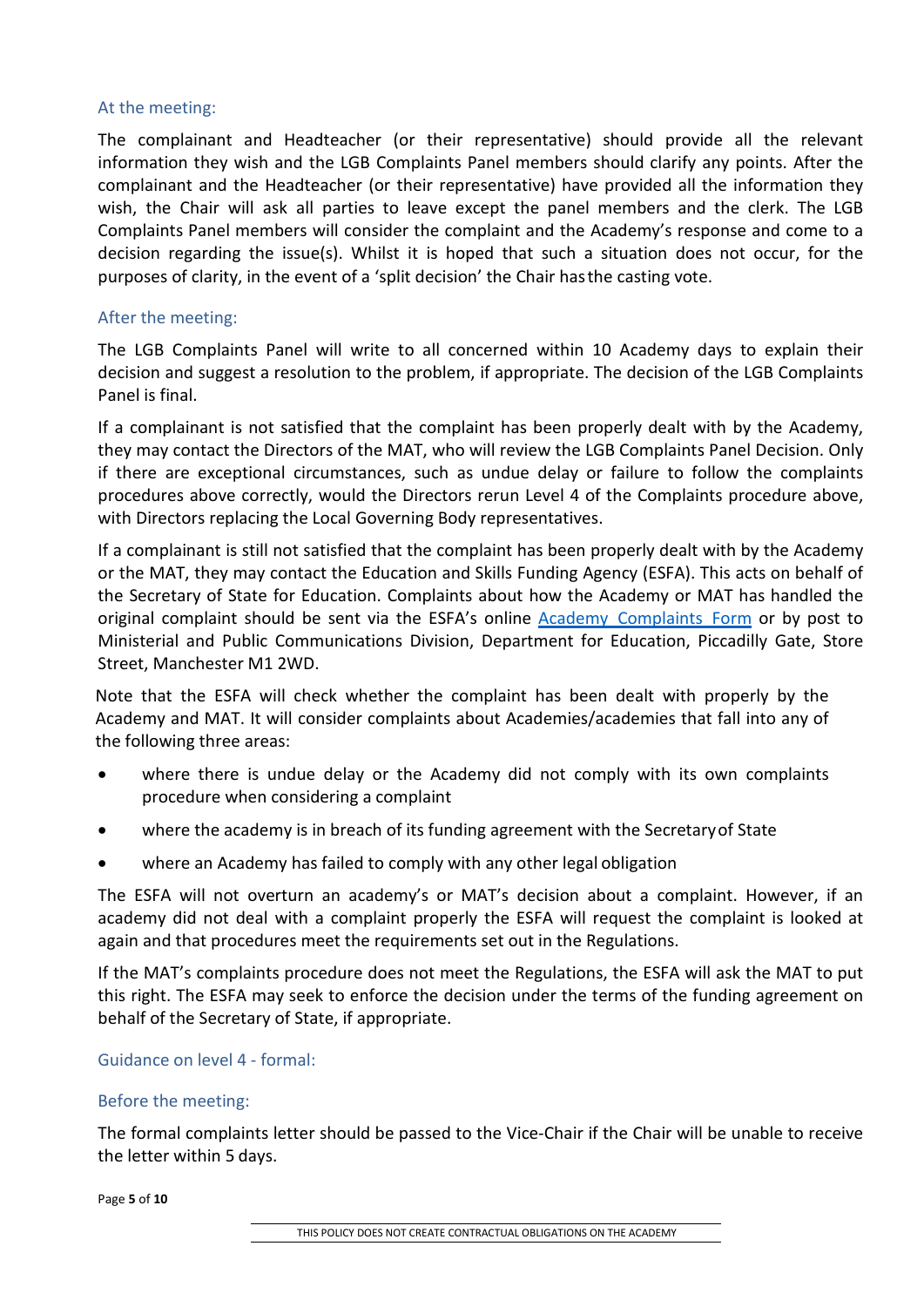#### At the meeting:

The complainant and Headteacher (or their representative) should provide all the relevant information they wish and the LGB Complaints Panel members should clarify any points. After the complainant and the Headteacher (or their representative) have provided all the information they wish, the Chair will ask all parties to leave except the panel members and the clerk. The LGB Complaints Panel members will consider the complaint and the Academy's response and come to a decision regarding the issue(s). Whilst it is hoped that such a situation does not occur, for the purposes of clarity, in the event of a 'split decision' the Chair hasthe casting vote.

#### After the meeting:

The LGB Complaints Panel will write to all concerned within 10 Academy days to explain their decision and suggest a resolution to the problem, if appropriate. The decision of the LGB Complaints Panel is final.

If a complainant is not satisfied that the complaint has been properly dealt with by the Academy, they may contact the Directors of the MAT, who will review the LGB Complaints Panel Decision. Only if there are exceptional circumstances, such as undue delay or failure to follow the complaints procedures above correctly, would the Directors rerun Level 4 of the Complaints procedure above, with Directors replacing the Local Governing Body representatives.

If a complainant is still not satisfied that the complaint has been properly dealt with by the Academy or the MAT, they may contact the Education and Skills Funding Agency (ESFA). This acts on behalf of the Secretary of State for Education. Complaints about how the Academy or MAT has handled the original complaint should be sent via the ESFA's online **Academy Complaints Form** or by post to Ministerial and Public Communications Division, Department for Education, Piccadilly Gate, Store Street, Manchester M1 2WD.

Note that the ESFA will check whether the complaint has been dealt with properly by the Academy and MAT. It will consider complaints about Academies/academies that fall into any of the following three areas:

- where there is undue delay or the Academy did not comply with its own complaints procedure when considering a complaint
- where the academy is in breach of its funding agreement with the Secretaryof State
- where an Academy has failed to comply with any other legal obligation

The ESFA will not overturn an academy's or MAT's decision about a complaint. However, if an academy did not deal with a complaint properly the ESFA will request the complaint is looked at again and that procedures meet the requirements set out in the Regulations.

If the MAT's complaints procedure does not meet the Regulations, the ESFA will ask the MAT to put this right. The ESFA may seek to enforce the decision under the terms of the funding agreement on behalf of the Secretary of State, if appropriate.

#### Guidance on level 4 - formal:

#### Before the meeting:

The formal complaints letter should be passed to the Vice-Chair if the Chair will be unable to receive the letter within 5 days.

Page **5** of **10**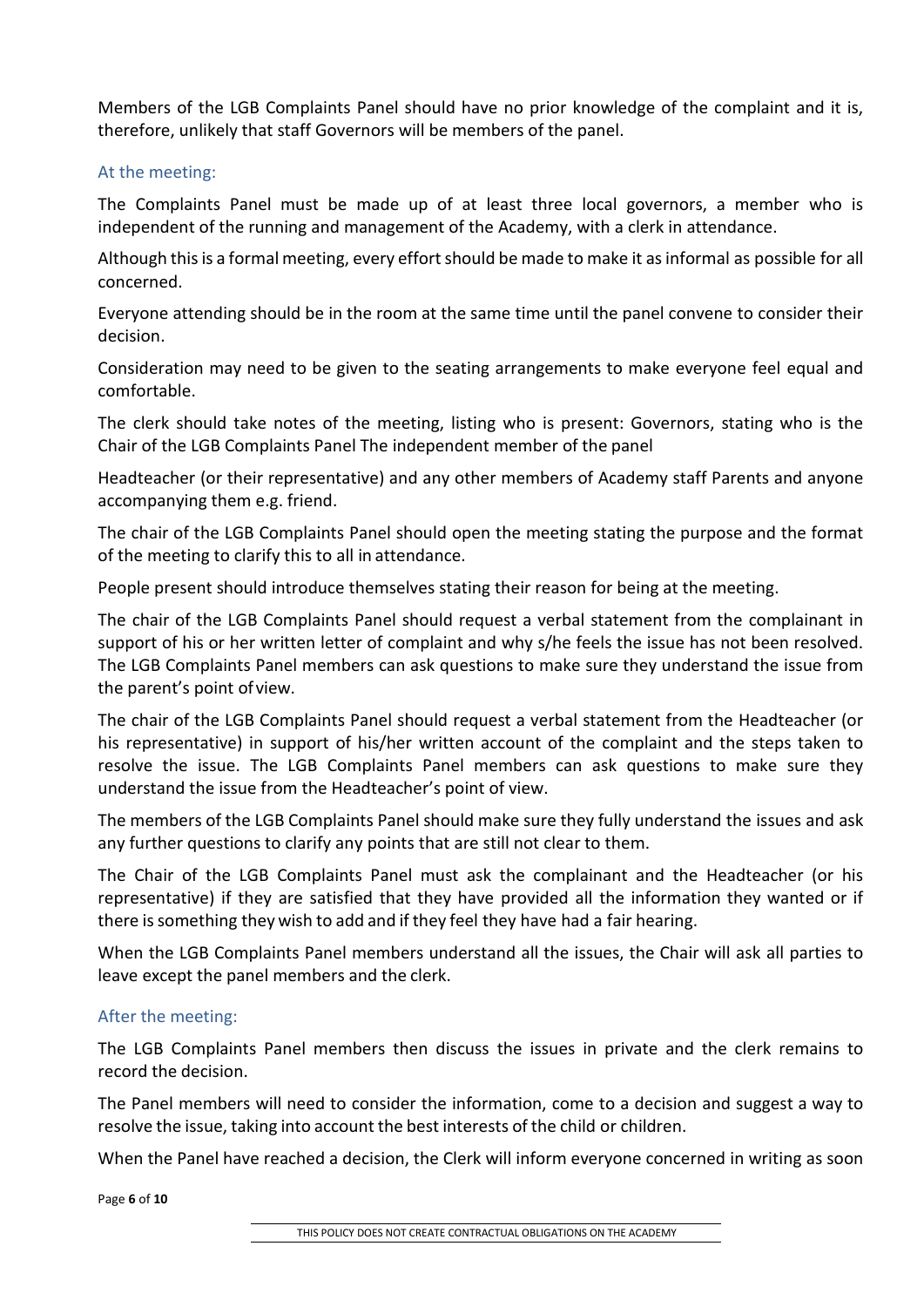Members of the LGB Complaints Panel should have no prior knowledge of the complaint and it is, therefore, unlikely that staff Governors will be members of the panel.

### At the meeting:

The Complaints Panel must be made up of at least three local governors, a member who is independent of the running and management of the Academy, with a clerk in attendance.

Although this is a formal meeting, every effort should be made to make it as informal as possible for all concerned.

Everyone attending should be in the room at the same time until the panel convene to consider their decision.

Consideration may need to be given to the seating arrangements to make everyone feel equal and comfortable.

The clerk should take notes of the meeting, listing who is present: Governors, stating who is the Chair of the LGB Complaints Panel The independent member of the panel

Headteacher (or their representative) and any other members of Academy staff Parents and anyone accompanying them e.g. friend.

The chair of the LGB Complaints Panel should open the meeting stating the purpose and the format of the meeting to clarify this to all in attendance.

People present should introduce themselves stating their reason for being at the meeting.

The chair of the LGB Complaints Panel should request a verbal statement from the complainant in support of his or her written letter of complaint and why s/he feels the issue has not been resolved. The LGB Complaints Panel members can ask questions to make sure they understand the issue from the parent's point ofview.

The chair of the LGB Complaints Panel should request a verbal statement from the Headteacher (or his representative) in support of his/her written account of the complaint and the steps taken to resolve the issue. The LGB Complaints Panel members can ask questions to make sure they understand the issue from the Headteacher's point of view.

The members of the LGB Complaints Panel should make sure they fully understand the issues and ask any further questions to clarify any points that are still not clear to them.

The Chair of the LGB Complaints Panel must ask the complainant and the Headteacher (or his representative) if they are satisfied that they have provided all the information they wanted or if there is something they wish to add and if they feel they have had a fair hearing.

When the LGB Complaints Panel members understand all the issues, the Chair will ask all parties to leave except the panel members and the clerk.

#### After the meeting:

The LGB Complaints Panel members then discuss the issues in private and the clerk remains to record the decision.

The Panel members will need to consider the information, come to a decision and suggest a way to resolve the issue, taking into account the best interests of the child or children.

When the Panel have reached a decision, the Clerk will inform everyone concerned in writing as soon

Page **6** of **10**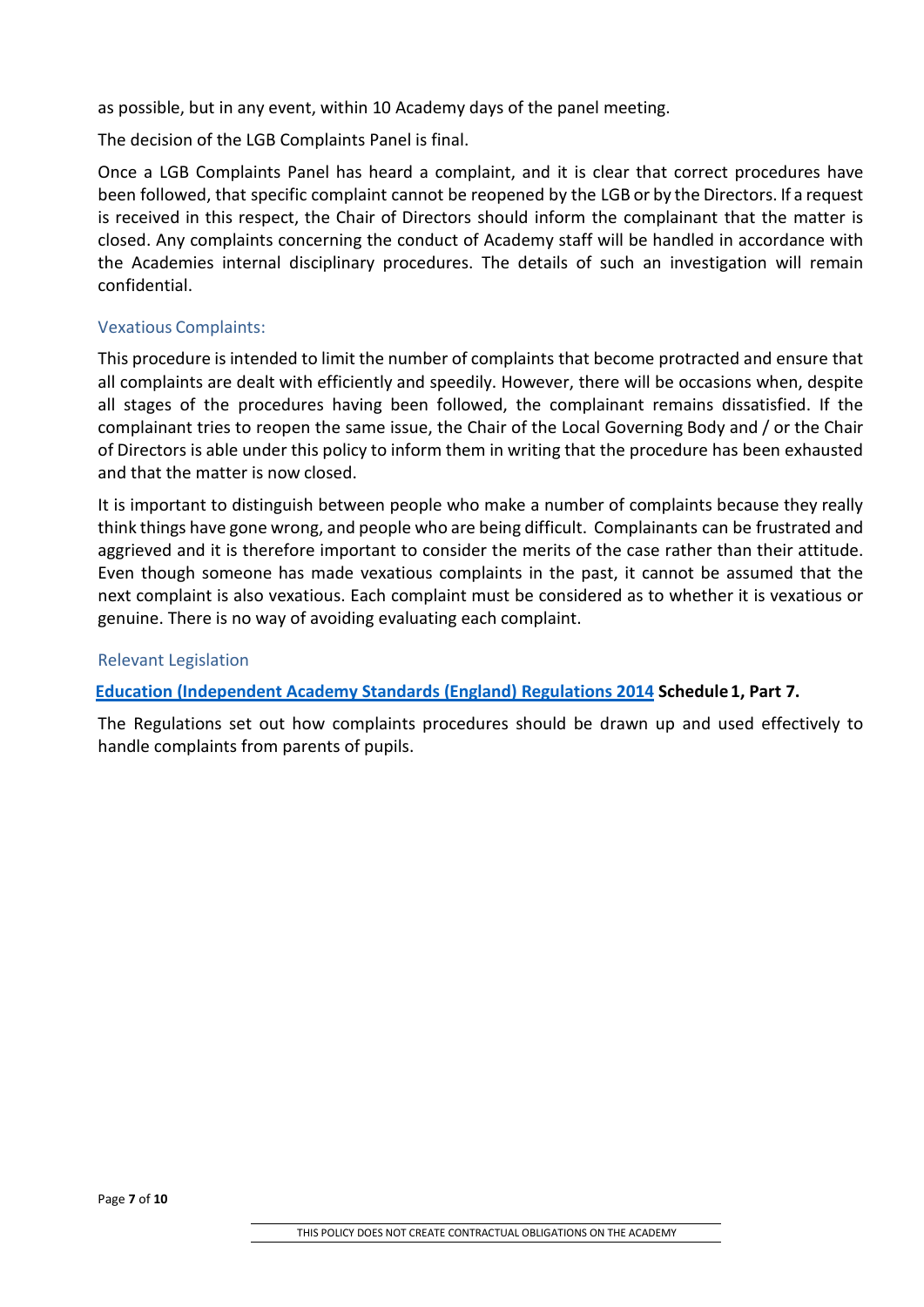as possible, but in any event, within 10 Academy days of the panel meeting.

The decision of the LGB Complaints Panel is final.

Once a LGB Complaints Panel has heard a complaint, and it is clear that correct procedures have been followed, that specific complaint cannot be reopened by the LGB or by the Directors. If a request is received in this respect, the Chair of Directors should inform the complainant that the matter is closed. Any complaints concerning the conduct of Academy staff will be handled in accordance with the Academies internal disciplinary procedures. The details of such an investigation will remain confidential.

### Vexatious Complaints:

This procedure is intended to limit the number of complaints that become protracted and ensure that all complaints are dealt with efficiently and speedily. However, there will be occasions when, despite all stages of the procedures having been followed, the complainant remains dissatisfied. If the complainant tries to reopen the same issue, the Chair of the Local Governing Body and / or the Chair of Directors is able under this policy to inform them in writing that the procedure has been exhausted and that the matter is now closed.

It is important to distinguish between people who make a number of complaints because they really think things have gone wrong, and people who are being difficult. Complainants can be frustrated and aggrieved and it is therefore important to consider the merits of the case rather than their attitude. Even though someone has made vexatious complaints in the past, it cannot be assumed that the next complaint is also vexatious. Each complaint must be considered as to whether it is vexatious or genuine. There is no way of avoiding evaluating each complaint.

#### Relevant Legislation

**Education (Independent Academy [Standards \(England\) Regulations 2014](http://www.legislation.gov.uk/uksi/2014/3283/schedule/made) Schedule 1, Part 7.**

The Regulations set out how complaints procedures should be drawn up and used effectively to handle complaints from parents of pupils.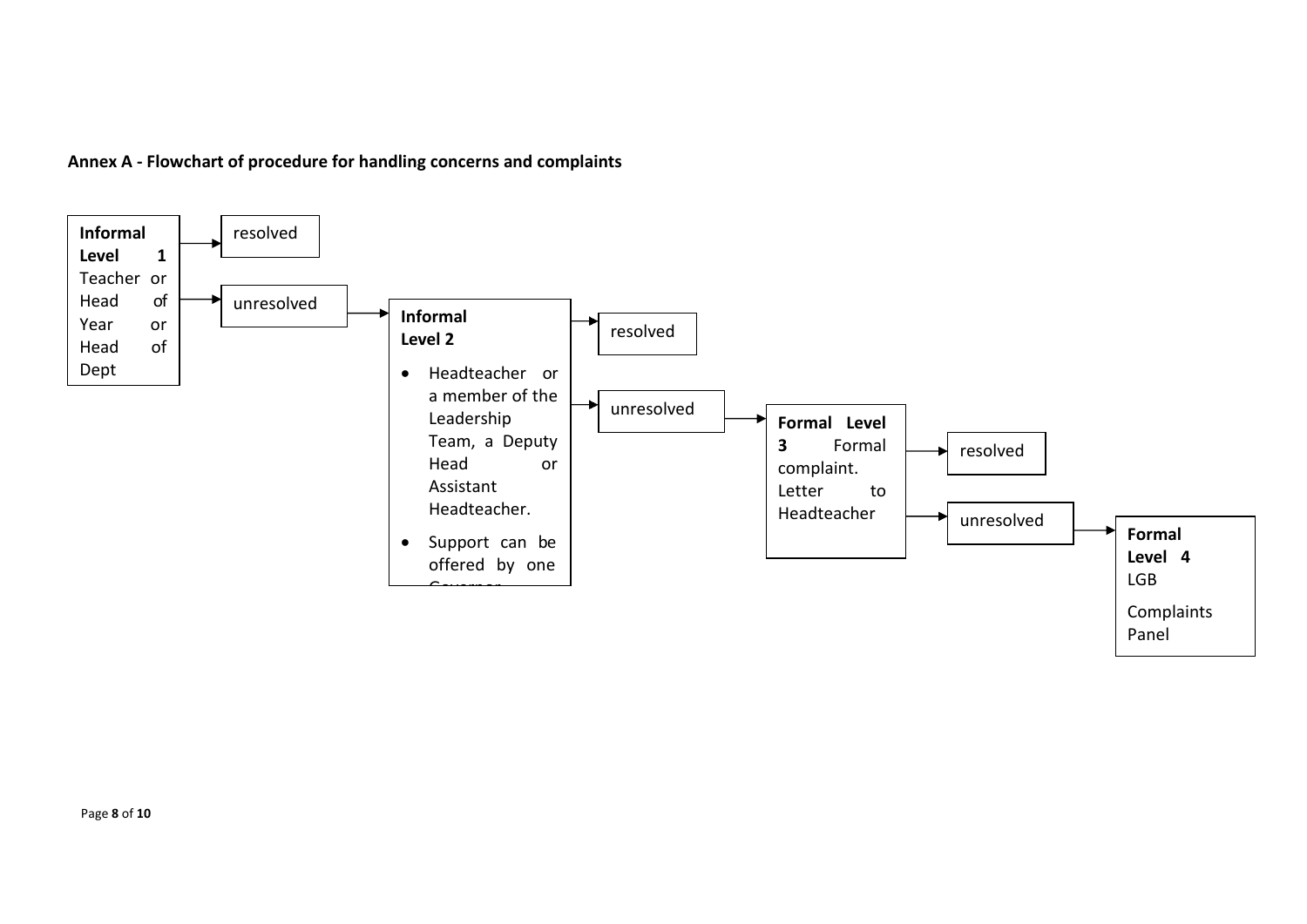

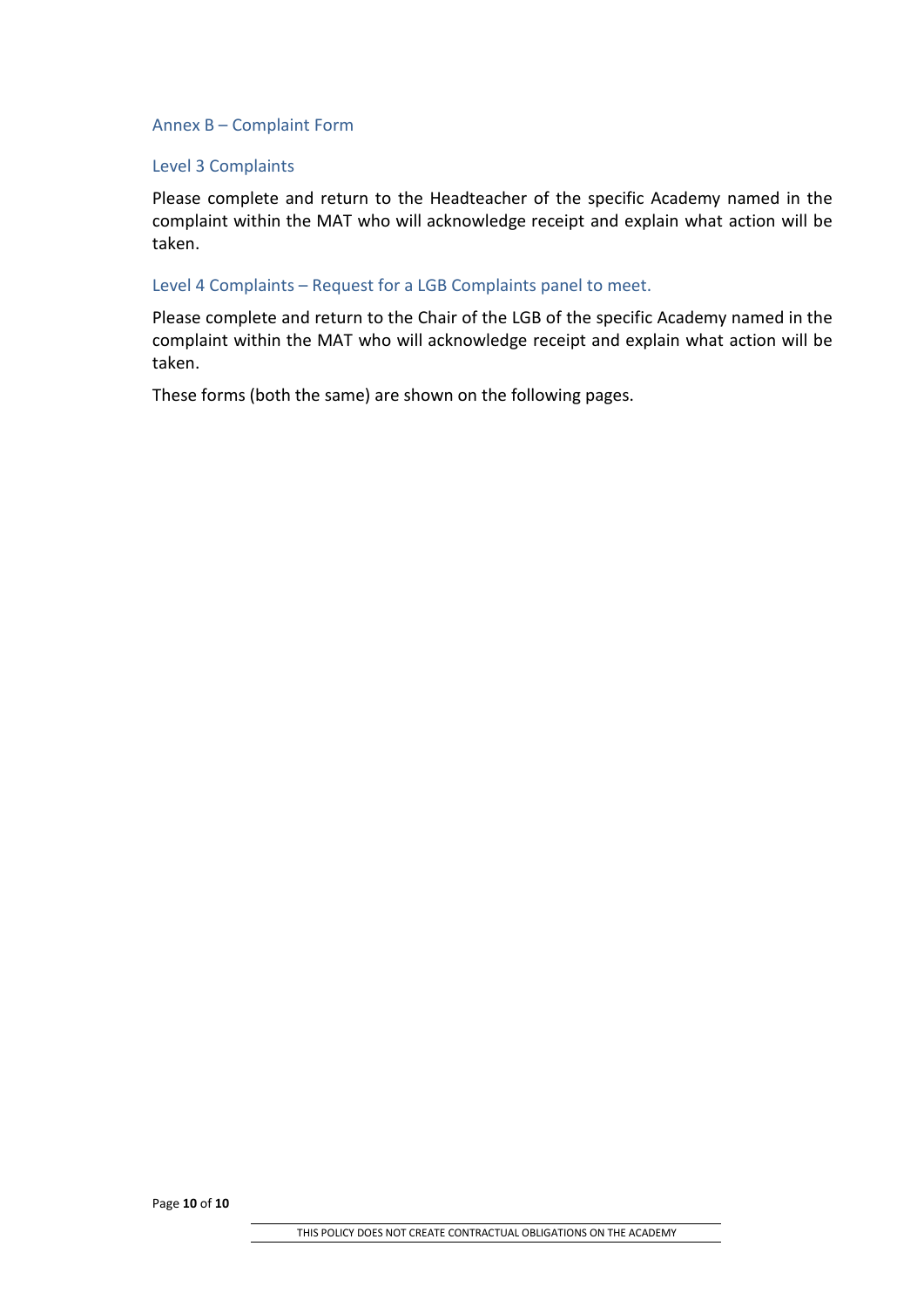#### Annex B – Complaint Form

#### Level 3 Complaints

Please complete and return to the Headteacher of the specific Academy named in the complaint within the MAT who will acknowledge receipt and explain what action will be taken.

#### Level 4 Complaints – Request for a LGB Complaints panel to meet.

Please complete and return to the Chair of the LGB of the specific Academy named in the complaint within the MAT who will acknowledge receipt and explain what action will be taken.

These forms (both the same) are shown on the following pages.